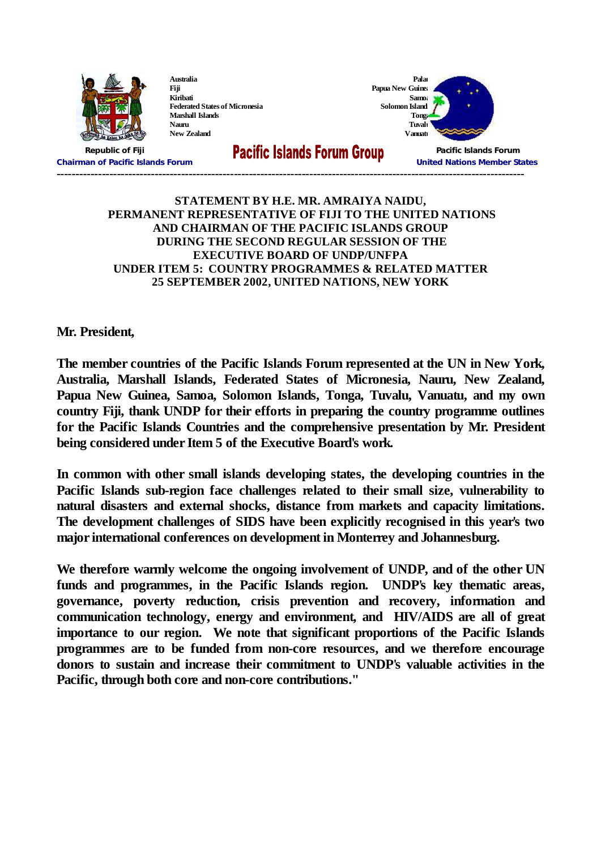

**Australia Fiji Kiribati Federated States of Micronesia Marshall Islands Nauru New Zealand**

**Samoa Solomon Island Tonga Tuvalu**

**Palau**



**Chairman of Pacific Islands Forum United Nations Member States ----------------------------------------------------------------------------------------------------------------------------**

**Republic of Fiji Pacific Islands Forum**

## **STATEMENT BY H.E. MR. AMRAIYA NAIDU, PERMANENT REPRESENTATIVE OF FIJI TO THE UNITED NATIONS AND CHAIRMAN OF THE PACIFIC ISLANDS GROUP DURING THE SECOND REGULAR SESSION OF THE EXECUTIVE BOARD OF UNDP/UNFPA UNDER ITEM 5: COUNTRY PROGRAMMES & RELATED MATTER 25 SEPTEMBER 2002, UNITED NATIONS, NEW YORK**

## **Mr. President,**

**The member countries of the Pacific Islands Forum represented at the UN in New York, Australia, Marshall Islands, Federated States of Micronesia, Nauru, New Zealand, Papua New Guinea, Samoa, Solomon Islands, Tonga, Tuvalu, Vanuatu, and my own country Fiji, thank UNDP for their efforts in preparing the country programme outlines for the Pacific Islands Countries and the comprehensive presentation by Mr. President being considered under Item 5 of the Executive Board's work.**

**In common with other small islands developing states, the developing countries in the Pacific Islands sub-region face challenges related to their small size, vulnerability to natural disasters and external shocks, distance from markets and capacity limitations. The development challenges of SIDS have been explicitly recognised in this year's two major international conferences on development in Monterrey and Johannesburg.**

**We therefore warmly welcome the ongoing involvement of UNDP, and of the other UN funds and programmes, in the Pacific Islands region. UNDP's key thematic areas, governance, poverty reduction, crisis prevention and recovery, information and communication technology, energy and environment, and HIV/AIDS are all of great importance to our region. We note that significant proportions of the Pacific Islands programmes are to be funded from non-core resources, and we therefore encourage donors to sustain and increase their commitment to UNDP's valuable activities in the Pacific, through both core and non-core contributions."**